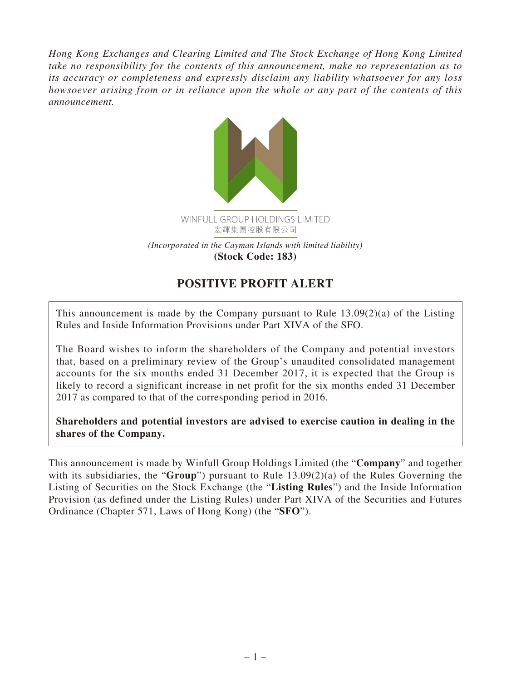*Hong Kong Exchanges and Clearing Limited and The Stock Exchange of Hong Kong Limited take no responsibility for the contents of this announcement, make no representation as to its accuracy or completeness and expressly disclaim any liability whatsoever for any loss howsoever arising from or in reliance upon the whole or any part of the contents of this announcement.*



## **POSITIVE PROFIT ALERT**

This announcement is made by the Company pursuant to Rule 13.09(2)(a) of the Listing Rules and Inside Information Provisions under Part XIVA of the SFO.

The Board wishes to inform the shareholders of the Company and potential investors that, based on a preliminary review of the Group's unaudited consolidated management accounts for the six months ended 31 December 2017, it is expected that the Group is likely to record a significant increase in net profit for the six months ended 31 December 2017 as compared to that of the corresponding period in 2016.

**Shareholders and potential investors are advised to exercise caution in dealing in the shares of the Company.**

This announcement is made by Winfull Group Holdings Limited (the "**Company**" and together with its subsidiaries, the "**Group**") pursuant to Rule 13.09(2)(a) of the Rules Governing the Listing of Securities on the Stock Exchange (the "**Listing Rules**") and the Inside Information Provision (as defined under the Listing Rules) under Part XIVA of the Securities and Futures Ordinance (Chapter 571, Laws of Hong Kong) (the "**SFO**").